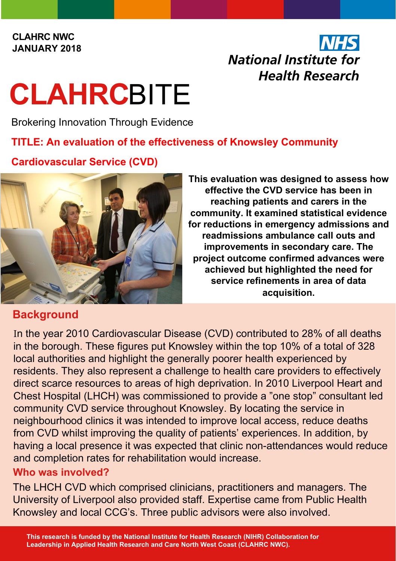#### **CLAHRC NWC JANUARY 2018**

## **National Institute for Health Research**

# **CLAHRC**BITE

Brokering Innovation Through Evidence

#### **TITLE: An evaluation of the effectiveness of Knowsley Community**

#### **Cardiovascular Service (CVD)**



#### **Background**

**This evaluation was designed to assess how effective the CVD service has been in reaching patients and carers in the community. It examined statistical evidence for reductions in emergency admissions and readmissions ambulance call outs and improvements in secondary care. The project outcome confirmed advances were achieved but highlighted the need for service refinements in area of data acquisition.**

In the year 2010 Cardiovascular Disease (CVD) contributed to 28% of all deaths in the borough. These figures put Knowsley within the top 10% of a total of 328 local authorities and highlight the generally poorer health experienced by residents. They also represent a challenge to health care providers to effectively direct scarce resources to areas of high deprivation. In 2010 Liverpool Heart and Chest Hospital (LHCH) was commissioned to provide a "one stop" consultant led community CVD service throughout Knowsley. By locating the service in neighbourhood clinics it was intended to improve local access, reduce deaths from CVD whilst improving the quality of patients' experiences. In addition, by having a local presence it was expected that clinic non-attendances would reduce and completion rates for rehabilitation would increase.

#### **Who was involved?**

The LHCH CVD which comprised clinicians, practitioners and managers. The University of Liverpool also provided staff. Expertise came from Public Health Knowsley and local CCG's. Three public advisors were also involved.